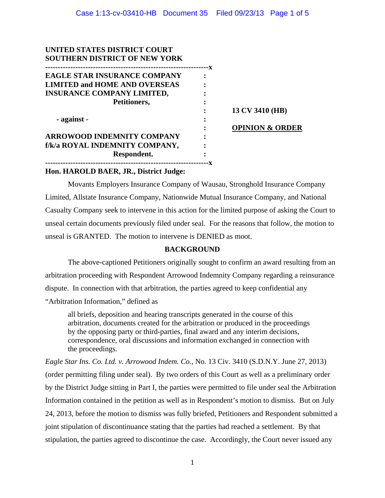| UNITED STATES DISTRICT COURT         |    |                            |
|--------------------------------------|----|----------------------------|
| <b>SOUTHERN DISTRICT OF NEW YORK</b> |    |                            |
|                                      | -X |                            |
| <b>EAGLE STAR INSURANCE COMPANY</b>  |    |                            |
| <b>LIMITED and HOME AND OVERSEAS</b> |    |                            |
| <b>INSURANCE COMPANY LIMITED,</b>    |    |                            |
| Petitioners,                         |    |                            |
|                                      |    | 13 CV 3410 (HB)            |
| - against -                          |    |                            |
|                                      |    | <b>OPINION &amp; ORDER</b> |
| <b>ARROWOOD INDEMNITY COMPANY</b>    |    |                            |
| f/k/a ROYAL INDEMNITY COMPANY,       |    |                            |
| Respondent.                          |    |                            |
|                                      |    |                            |

## **Hon. HAROLD BAER, JR., District Judge:**

Movants Employers Insurance Company of Wausau, Stronghold Insurance Company Limited, Allstate Insurance Company, Nationwide Mutual Insurance Company, and National Casualty Company seek to intervene in this action for the limited purpose of asking the Court to unseal certain documents previously filed under seal. For the reasons that follow, the motion to unseal is GRANTED. The motion to intervene is DENIED as moot.

# **BACKGROUND**

The above-captioned Petitioners originally sought to confirm an award resulting from an arbitration proceeding with Respondent Arrowood Indemnity Company regarding a reinsurance dispute. In connection with that arbitration, the parties agreed to keep confidential any "Arbitration Information," defined as

all briefs, deposition and hearing transcripts generated in the course of this arbitration, documents created for the arbitration or produced in the proceedings by the opposing party or third-parties, final award and any interim decisions, correspondence, oral discussions and information exchanged in connection with the proceedings.

*Eagle Star Ins. Co. Ltd. v. Arrowood Indem. Co.*, No. 13 Civ. 3410 (S.D.N.Y. June 27, 2013) (order permitting filing under seal). By two orders of this Court as well as a preliminary order by the District Judge sitting in Part I, the parties were permitted to file under seal the Arbitration Information contained in the petition as well as in Respondent's motion to dismiss. But on July 24, 2013, before the motion to dismiss was fully briefed, Petitioners and Respondent submitted a joint stipulation of discontinuance stating that the parties had reached a settlement. By that stipulation, the parties agreed to discontinue the case. Accordingly, the Court never issued any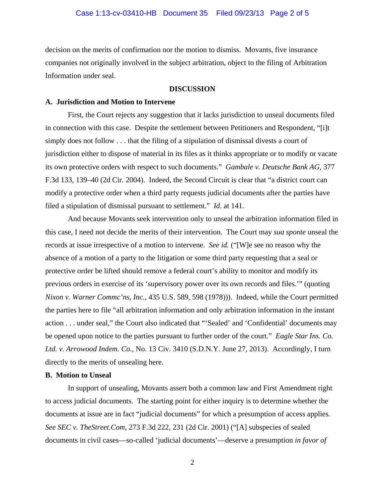decision on the merits of confirmation nor the motion to dismiss. Movants, five insurance companies not originally involved in the subject arbitration, object to the filing of Arbitration Information under seal.

#### **DISCUSSION**

#### **A. Jurisdiction and Motion to Intervene**

 First, the Court rejects any suggestion that it lacks jurisdiction to unseal documents filed in connection with this case. Despite the settlement between Petitioners and Respondent, "[i]t simply does not follow . . . that the filing of a stipulation of dismissal divests a court of jurisdiction either to dispose of material in its files as it thinks appropriate or to modify or vacate its own protective orders with respect to such documents." *Gambale v. Deutsche Bank AG*, 377 F.3d 133, 139–40 (2d Cir. 2004). Indeed, the Second Circuit is clear that "a district court can modify a protective order when a third party requests judicial documents after the parties have filed a stipulation of dismissal pursuant to settlement." *Id.* at 141.

And because Movants seek intervention only to unseal the arbitration information filed in this case, I need not decide the merits of their intervention. The Court may *sua sponte* unseal the records at issue irrespective of a motion to intervene. *See id.* ("[W]e see no reason why the absence of a motion of a party to the litigation or some third party requesting that a seal or protective order be lifted should remove a federal court's ability to monitor and modify its previous orders in exercise of its 'supervisory power over its own records and files.'" (quoting *Nixon v. Warner Commc'ns, Inc.*, 435 U.S. 589, 598 (1978))). Indeed, while the Court permitted the parties here to file "all arbitration information and only arbitration information in the instant action . . . under seal," the Court also indicated that "'Sealed' and 'Confidential' documents may be opened upon notice to the parties pursuant to further order of the court." *Eagle Star Ins. Co. Ltd. v. Arrowood Indem. Co.*, No. 13 Civ. 3410 (S.D.N.Y. June 27, 2013). Accordingly, I turn directly to the merits of unsealing here.

#### **B. Motion to Unseal**

 In support of unsealing, Movants assert both a common law and First Amendment right to access judicial documents. The starting point for either inquiry is to determine whether the documents at issue are in fact "judicial documents" for which a presumption of access applies. *See SEC v. TheStreet.Com*, 273 F.3d 222, 231 (2d Cir. 2001) ("[A] subspecies of sealed documents in civil cases—so-called 'judicial documents'—deserve a presumption *in favor of* 

2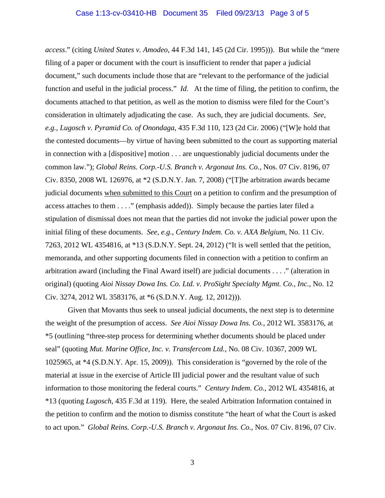*access*." (citing *United States v. Amodeo*, 44 F.3d 141, 145 (2d Cir. 1995))). But while the "mere filing of a paper or document with the court is insufficient to render that paper a judicial document," such documents include those that are "relevant to the performance of the judicial function and useful in the judicial process." *Id.* At the time of filing, the petition to confirm, the documents attached to that petition, as well as the motion to dismiss were filed for the Court's consideration in ultimately adjudicating the case. As such, they are judicial documents. *See, e.g.*, *Lugosch v. Pyramid Co. of Onondaga*, 435 F.3d 110, 123 (2d Cir. 2006) ("[W]e hold that the contested documents—by virtue of having been submitted to the court as supporting material in connection with a [dispositive] motion . . . are unquestionably judicial documents under the common law."); *Global Reins. Corp.-U.S. Branch v. Argonaut Ins. Co.*, Nos. 07 Civ. 8196, 07 Civ. 8350, 2008 WL 126976, at \*2 (S.D.N.Y. Jan. 7, 2008) ("[T]he arbitration awards became judicial documents when submitted to this Court on a petition to confirm and the presumption of access attaches to them . . . ." (emphasis added)). Simply because the parties later filed a stipulation of dismissal does not mean that the parties did not invoke the judicial power upon the initial filing of these documents. *See, e.g.*, *Century Indem. Co. v. AXA Belgium*, No. 11 Civ. 7263, 2012 WL 4354816, at \*13 (S.D.N.Y. Sept. 24, 2012) ("It is well settled that the petition, memoranda, and other supporting documents filed in connection with a petition to confirm an arbitration award (including the Final Award itself) are judicial documents . . . ." (alteration in original) (quoting *Aioi Nissay Dowa Ins. Co. Ltd. v. ProSight Specialty Mgmt. Co., Inc.*, No. 12 Civ. 3274, 2012 WL 3583176, at \*6 (S.D.N.Y. Aug. 12, 2012))).

 Given that Movants thus seek to unseal judicial documents, the next step is to determine the weight of the presumption of access. *See Aioi Nissay Dowa Ins. Co.*, 2012 WL 3583176, at \*5 (outlining "three-step process for determining whether documents should be placed under seal" (quoting *Mut. Marine Office, Inc. v. Transfercom Ltd.*, No. 08 Civ. 10367, 2009 WL 1025965, at \*4 (S.D.N.Y. Apr. 15, 2009)). This consideration is "governed by the role of the material at issue in the exercise of Article III judicial power and the resultant value of such information to those monitoring the federal courts." *Century Indem. Co.*, 2012 WL 4354816, at \*13 (quoting *Lugosch*, 435 F.3d at 119).Here, the sealed Arbitration Information contained in the petition to confirm and the motion to dismiss constitute "the heart of what the Court is asked to act upon." *Global Reins. Corp.-U.S. Branch v. Argonaut Ins. Co.*, Nos. 07 Civ. 8196, 07 Civ.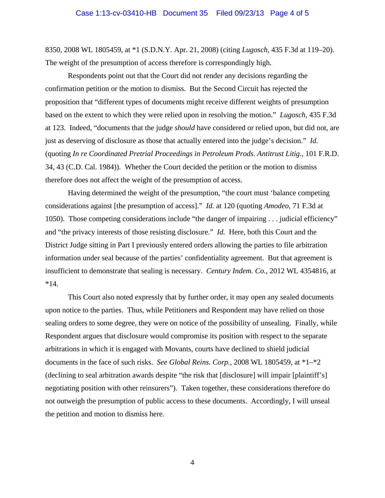8350, 2008 WL 1805459, at \*1 (S.D.N.Y. Apr. 21, 2008) (citing *Lugosch*, 435 F.3d at 119–20). The weight of the presumption of access therefore is correspondingly high.

Respondents point out that the Court did not render any decisions regarding the confirmation petition or the motion to dismiss. But the Second Circuit has rejected the proposition that "different types of documents might receive different weights of presumption based on the extent to which they were relied upon in resolving the motion." *Lugosch*, 435 F.3d at 123. Indeed, "documents that the judge *should* have considered or relied upon, but did not, are just as deserving of disclosure as those that actually entered into the judge's decision." *Id.* (quoting *In re Coordinated Pretrial Proceedings in Petroleum Prods. Antitrust Litig.*, 101 F.R.D. 34, 43 (C.D. Cal. 1984)). Whether the Court decided the petition or the motion to dismiss therefore does not affect the weight of the presumption of access.

 Having determined the weight of the presumption, "the court must 'balance competing considerations against [the presumption of access]." *Id.* at 120 (quoting *Amodeo*, 71 F.3d at 1050). Those competing considerations include "the danger of impairing . . . judicial efficiency" and "the privacy interests of those resisting disclosure." *Id.* Here, both this Court and the District Judge sitting in Part I previously entered orders allowing the parties to file arbitration information under seal because of the parties' confidentiality agreement. But that agreement is insufficient to demonstrate that sealing is necessary. *Century Indem. Co.*, 2012 WL 4354816, at \*14.

 This Court also noted expressly that by further order, it may open any sealed documents upon notice to the parties. Thus, while Petitioners and Respondent may have relied on those sealing orders to some degree, they were on notice of the possibility of unsealing. Finally, while Respondent argues that disclosure would compromise its position with respect to the separate arbitrations in which it is engaged with Movants, courts have declined to shield judicial documents in the face of such risks. *See Global Reins. Corp.*, 2008 WL 1805459, at \*1–\*2 (declining to seal arbitration awards despite "the risk that [disclosure] will impair [plaintiff's] negotiating position with other reinsurers"). Taken together, these considerations therefore do not outweigh the presumption of public access to these documents. Accordingly, I will unseal the petition and motion to dismiss here.

4